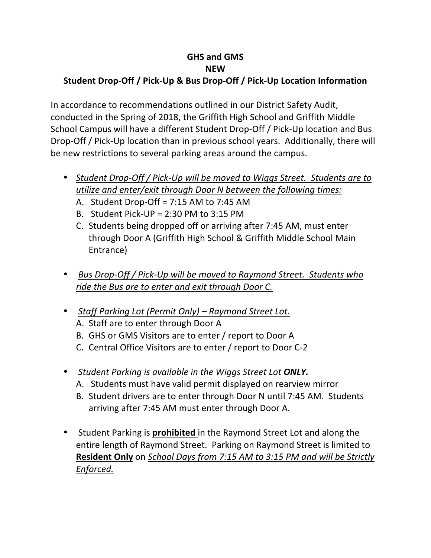## **GHS and GMS NEW**

## Student Drop-Off / Pick-Up & Bus Drop-Off / Pick-Up Location Information

In accordance to recommendations outlined in our District Safety Audit, conducted in the Spring of 2018, the Griffith High School and Griffith Middle School Campus will have a different Student Drop-Off / Pick-Up location and Bus Drop-Off / Pick-Up location than in previous school years. Additionally, there will be new restrictions to several parking areas around the campus.

- Student Drop-Off / Pick-Up will be moved to Wiggs Street. Students are to *utilize and enter/exit through Door N between the following times:* 
	- A. Student Drop-Off =  $7:15$  AM to  $7:45$  AM
	- B. Student Pick-UP =  $2:30$  PM to  $3:15$  PM
	- C. Students being dropped off or arriving after 7:45 AM, must enter through Door A (Griffith High School & Griffith Middle School Main Entrance)
- Bus Drop-Off / Pick-Up will be moved to Raymond Street. Students who ride the Bus are to enter and exit through Door C.
- Staff Parking Lot (Permit Only) Raymond Street Lot. A. Staff are to enter through Door A
	- B. GHS or GMS Visitors are to enter / report to Door A
	- C. Central Office Visitors are to enter / report to Door C-2
- Student Parking is available in the Wiggs Street Lot **ONLY.** 
	- A. Students must have valid permit displayed on rearview mirror
	- B. Student drivers are to enter through Door N until 7:45 AM. Students arriving after 7:45 AM must enter through Door A.
- Student Parking is **prohibited** in the Raymond Street Lot and along the entire length of Raymond Street. Parking on Raymond Street is limited to **Resident Only** on *School Days from 7:15 AM to 3:15 PM and will be Strictly Enforced.*